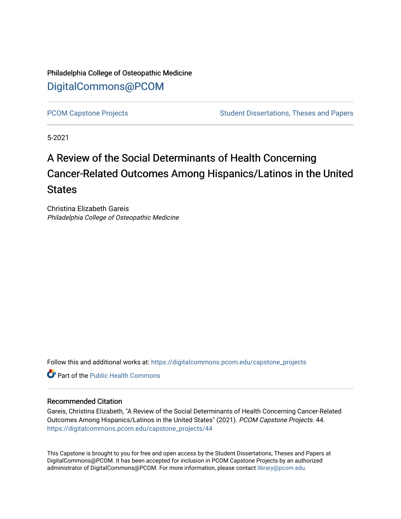Philadelphia College of Osteopathic Medicine [DigitalCommons@PCOM](https://digitalcommons.pcom.edu/) 

[PCOM Capstone Projects](https://digitalcommons.pcom.edu/capstone_projects) **Student Dissertations, Theses and Papers** Student Dissertations, Theses and Papers

5-2021

# A Review of the Social Determinants of Health Concerning Cancer-Related Outcomes Among Hispanics/Latinos in the United **States**

Christina Elizabeth Gareis Philadelphia College of Osteopathic Medicine

Follow this and additional works at: [https://digitalcommons.pcom.edu/capstone\\_projects](https://digitalcommons.pcom.edu/capstone_projects?utm_source=digitalcommons.pcom.edu%2Fcapstone_projects%2F44&utm_medium=PDF&utm_campaign=PDFCoverPages)

**C** Part of the Public Health Commons

### Recommended Citation

Gareis, Christina Elizabeth, "A Review of the Social Determinants of Health Concerning Cancer-Related Outcomes Among Hispanics/Latinos in the United States" (2021). PCOM Capstone Projects. 44. [https://digitalcommons.pcom.edu/capstone\\_projects/44](https://digitalcommons.pcom.edu/capstone_projects/44?utm_source=digitalcommons.pcom.edu%2Fcapstone_projects%2F44&utm_medium=PDF&utm_campaign=PDFCoverPages) 

This Capstone is brought to you for free and open access by the Student Dissertations, Theses and Papers at DigitalCommons@PCOM. It has been accepted for inclusion in PCOM Capstone Projects by an authorized administrator of DigitalCommons@PCOM. For more information, please contact [library@pcom.edu.](mailto:library@pcom.edu)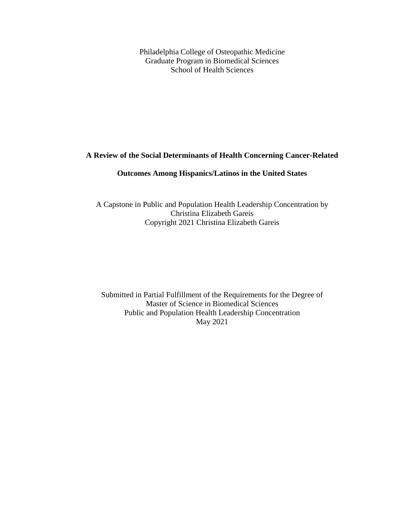Philadelphia College of Osteopathic Medicine Graduate Program in Biomedical Sciences School of Health Sciences

# **A Review of the Social Determinants of Health Concerning Cancer-Related**

## **Outcomes Among Hispanics/Latinos in the United States**

A Capstone in Public and Population Health Leadership Concentration by Christina Elizabeth Gareis Copyright 2021 Christina Elizabeth Gareis

Submitted in Partial Fulfillment of the Requirements for the Degree of Master of Science in Biomedical Sciences Public and Population Health Leadership Concentration May 2021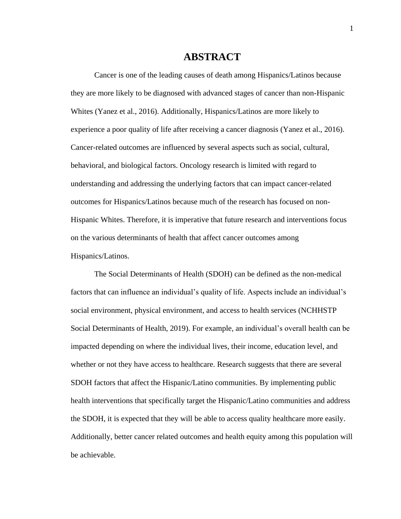# **ABSTRACT**

Cancer is one of the leading causes of death among Hispanics/Latinos because they are more likely to be diagnosed with advanced stages of cancer than non-Hispanic Whites (Yanez et al., 2016). Additionally, Hispanics/Latinos are more likely to experience a poor quality of life after receiving a cancer diagnosis (Yanez et al., 2016). Cancer-related outcomes are influenced by several aspects such as social, cultural, behavioral, and biological factors. Oncology research is limited with regard to understanding and addressing the underlying factors that can impact cancer-related outcomes for Hispanics/Latinos because much of the research has focused on non-Hispanic Whites. Therefore, it is imperative that future research and interventions focus on the various determinants of health that affect cancer outcomes among Hispanics/Latinos.

The Social Determinants of Health (SDOH) can be defined as the non-medical factors that can influence an individual's quality of life. Aspects include an individual's social environment, physical environment, and access to health services (NCHHSTP Social Determinants of Health, 2019). For example, an individual's overall health can be impacted depending on where the individual lives, their income, education level, and whether or not they have access to healthcare. Research suggests that there are several SDOH factors that affect the Hispanic/Latino communities. By implementing public health interventions that specifically target the Hispanic/Latino communities and address the SDOH, it is expected that they will be able to access quality healthcare more easily. Additionally, better cancer related outcomes and health equity among this population will be achievable.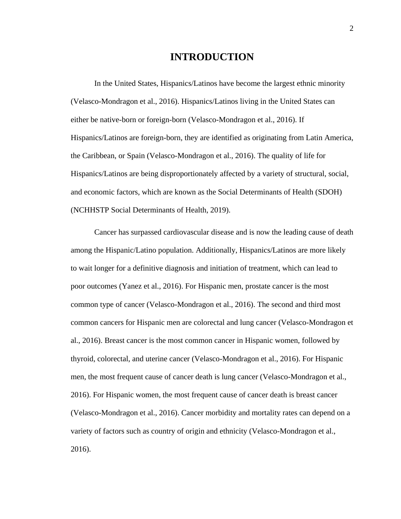# **INTRODUCTION**

In the United States, Hispanics/Latinos have become the largest ethnic minority (Velasco-Mondragon et al., 2016). Hispanics/Latinos living in the United States can either be native-born or foreign-born (Velasco-Mondragon et al., 2016). If Hispanics/Latinos are foreign-born, they are identified as originating from Latin America, the Caribbean, or Spain (Velasco-Mondragon et al., 2016). The quality of life for Hispanics/Latinos are being disproportionately affected by a variety of structural, social, and economic factors, which are known as the Social Determinants of Health (SDOH) (NCHHSTP Social Determinants of Health, 2019).

Cancer has surpassed cardiovascular disease and is now the leading cause of death among the Hispanic/Latino population. Additionally, Hispanics/Latinos are more likely to wait longer for a definitive diagnosis and initiation of treatment, which can lead to poor outcomes (Yanez et al., 2016). For Hispanic men, prostate cancer is the most common type of cancer (Velasco-Mondragon et al., 2016). The second and third most common cancers for Hispanic men are colorectal and lung cancer (Velasco-Mondragon et al., 2016). Breast cancer is the most common cancer in Hispanic women, followed by thyroid, colorectal, and uterine cancer (Velasco-Mondragon et al., 2016). For Hispanic men, the most frequent cause of cancer death is lung cancer (Velasco-Mondragon et al., 2016). For Hispanic women, the most frequent cause of cancer death is breast cancer (Velasco-Mondragon et al., 2016). Cancer morbidity and mortality rates can depend on a variety of factors such as country of origin and ethnicity (Velasco-Mondragon et al., 2016).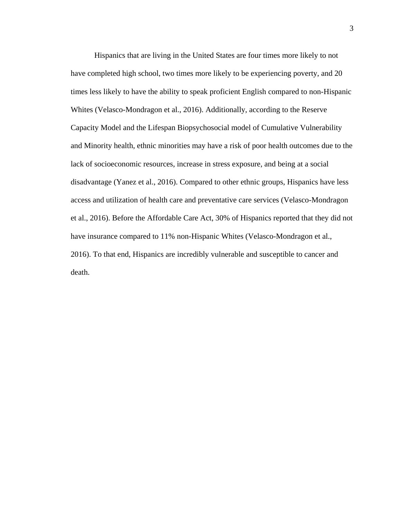Hispanics that are living in the United States are four times more likely to not have completed high school, two times more likely to be experiencing poverty, and 20 times less likely to have the ability to speak proficient English compared to non-Hispanic Whites (Velasco-Mondragon et al., 2016). Additionally, according to the Reserve Capacity Model and the Lifespan Biopsychosocial model of Cumulative Vulnerability and Minority health, ethnic minorities may have a risk of poor health outcomes due to the lack of socioeconomic resources, increase in stress exposure, and being at a social disadvantage (Yanez et al., 2016). Compared to other ethnic groups, Hispanics have less access and utilization of health care and preventative care services (Velasco-Mondragon et al., 2016). Before the Affordable Care Act, 30% of Hispanics reported that they did not have insurance compared to 11% non-Hispanic Whites (Velasco-Mondragon et al., 2016). To that end, Hispanics are incredibly vulnerable and susceptible to cancer and death.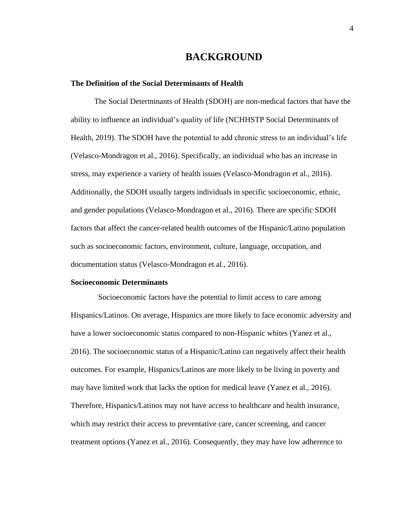# **BACKGROUND**

#### **The Definition of the Social Determinants of Health**

The Social Determinants of Health (SDOH) are non-medical factors that have the ability to influence an individual's quality of life (NCHHSTP Social Determinants of Health, 2019). The SDOH have the potential to add chronic stress to an individual's life (Velasco-Mondragon et al., 2016). Specifically, an individual who has an increase in stress, may experience a variety of health issues (Velasco-Mondragon et al., 2016). Additionally, the SDOH usually targets individuals in specific socioeconomic, ethnic, and gender populations (Velasco-Mondragon et al., 2016). There are specific SDOH factors that affect the cancer-related health outcomes of the Hispanic/Latino population such as socioeconomic factors, environment, culture, language, occupation, and documentation status (Velasco-Mondragon et al., 2016).

#### **Socioeconomic Determinants**

 Socioeconomic factors have the potential to limit access to care among Hispanics/Latinos. On average, Hispanics are more likely to face economic adversity and have a lower socioeconomic status compared to non-Hispanic whites (Yanez et al., 2016). The socioeconomic status of a Hispanic/Latino can negatively affect their health outcomes. For example, Hispanics/Latinos are more likely to be living in poverty and may have limited work that lacks the option for medical leave (Yanez et al., 2016). Therefore, Hispanics/Latinos may not have access to healthcare and health insurance, which may restrict their access to preventative care, cancer screening, and cancer treatment options (Yanez et al., 2016). Consequently, they may have low adherence to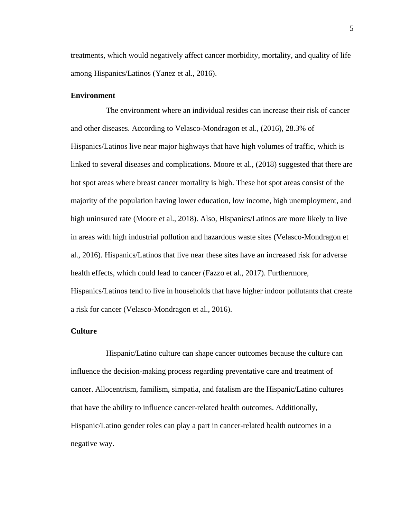treatments, which would negatively affect cancer morbidity, mortality, and quality of life among Hispanics/Latinos (Yanez et al., 2016).

### **Environment**

The environment where an individual resides can increase their risk of cancer and other diseases. According to Velasco-Mondragon et al., (2016), 28.3% of Hispanics/Latinos live near major highways that have high volumes of traffic, which is linked to several diseases and complications. Moore et al., (2018) suggested that there are hot spot areas where breast cancer mortality is high. These hot spot areas consist of the majority of the population having lower education, low income, high unemployment, and high uninsured rate (Moore et al., 2018). Also, Hispanics/Latinos are more likely to live in areas with high industrial pollution and hazardous waste sites (Velasco-Mondragon et al., 2016). Hispanics/Latinos that live near these sites have an increased risk for adverse health effects, which could lead to cancer (Fazzo et al., 2017). Furthermore, Hispanics/Latinos tend to live in households that have higher indoor pollutants that create a risk for cancer (Velasco-Mondragon et al., 2016).

### **Culture**

Hispanic/Latino culture can shape cancer outcomes because the culture can influence the decision-making process regarding preventative care and treatment of cancer. Allocentrism, familism, simpatia, and fatalism are the Hispanic/Latino cultures that have the ability to influence cancer-related health outcomes. Additionally, Hispanic/Latino gender roles can play a part in cancer-related health outcomes in a negative way.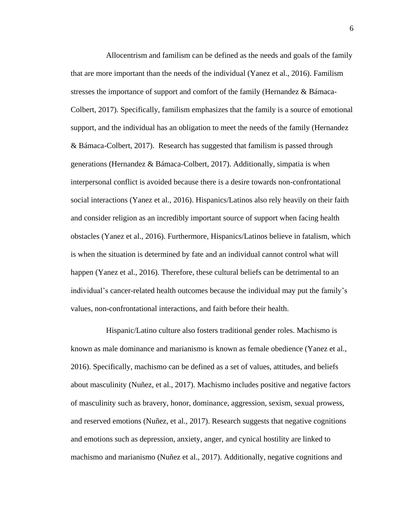Allocentrism and familism can be defined as the needs and goals of the family that are more important than the needs of the individual (Yanez et al., 2016). Familism stresses the importance of support and comfort of the family (Hernandez & Bámaca-Colbert, 2017). Specifically, familism emphasizes that the family is a source of emotional support, and the individual has an obligation to meet the needs of the family (Hernandez & Bámaca-Colbert, 2017). Research has suggested that familism is passed through generations (Hernandez & Bámaca-Colbert, 2017). Additionally, simpatia is when interpersonal conflict is avoided because there is a desire towards non-confrontational social interactions (Yanez et al., 2016). Hispanics/Latinos also rely heavily on their faith and consider religion as an incredibly important source of support when facing health obstacles (Yanez et al., 2016). Furthermore, Hispanics/Latinos believe in fatalism, which is when the situation is determined by fate and an individual cannot control what will happen (Yanez et al., 2016). Therefore, these cultural beliefs can be detrimental to an individual's cancer-related health outcomes because the individual may put the family's values, non-confrontational interactions, and faith before their health.

Hispanic/Latino culture also fosters traditional gender roles. Machismo is known as male dominance and marianismo is known as female obedience (Yanez et al., 2016). Specifically, machismo can be defined as a set of values, attitudes, and beliefs about masculinity (Nuñez, et al., 2017). Machismo includes positive and negative factors of masculinity such as bravery, honor, dominance, aggression, sexism, sexual prowess, and reserved emotions (Nuñez, et al., 2017). Research suggests that negative cognitions and emotions such as depression, anxiety, anger, and cynical hostility are linked to machismo and marianismo (Nuñez et al., 2017). Additionally, negative cognitions and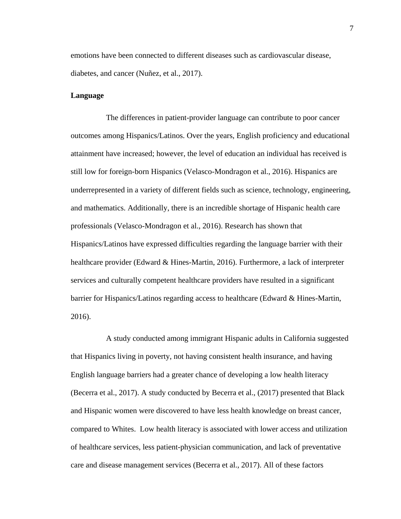emotions have been connected to different diseases such as cardiovascular disease, diabetes, and cancer (Nuñez, et al., 2017).

### **Language**

The differences in patient-provider language can contribute to poor cancer outcomes among Hispanics/Latinos. Over the years, English proficiency and educational attainment have increased; however, the level of education an individual has received is still low for foreign-born Hispanics (Velasco-Mondragon et al., 2016). Hispanics are underrepresented in a variety of different fields such as science, technology, engineering, and mathematics. Additionally, there is an incredible shortage of Hispanic health care professionals (Velasco-Mondragon et al., 2016). Research has shown that Hispanics/Latinos have expressed difficulties regarding the language barrier with their healthcare provider (Edward & Hines-Martin, 2016). Furthermore, a lack of interpreter services and culturally competent healthcare providers have resulted in a significant barrier for Hispanics/Latinos regarding access to healthcare (Edward & Hines-Martin, 2016).

A study conducted among immigrant Hispanic adults in California suggested that Hispanics living in poverty, not having consistent health insurance, and having English language barriers had a greater chance of developing a low health literacy (Becerra et al., 2017). A study conducted by Becerra et al., (2017) presented that Black and Hispanic women were discovered to have less health knowledge on breast cancer, compared to Whites. Low health literacy is associated with lower access and utilization of healthcare services, less patient-physician communication, and lack of preventative care and disease management services (Becerra et al., 2017). All of these factors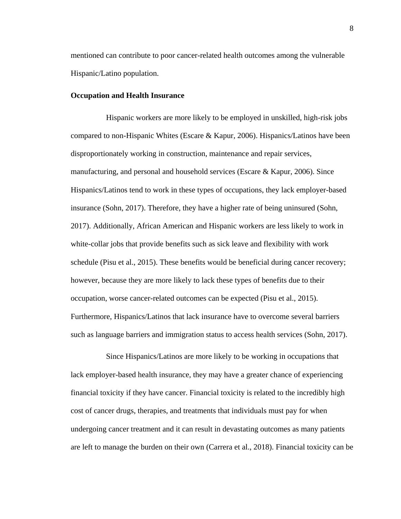mentioned can contribute to poor cancer-related health outcomes among the vulnerable Hispanic/Latino population.

### **Occupation and Health Insurance**

Hispanic workers are more likely to be employed in unskilled, high-risk jobs compared to non-Hispanic Whites (Escare & Kapur, 2006). Hispanics/Latinos have been disproportionately working in construction, maintenance and repair services, manufacturing, and personal and household services (Escare  $\&$  Kapur, 2006). Since Hispanics/Latinos tend to work in these types of occupations, they lack employer-based insurance (Sohn, 2017). Therefore, they have a higher rate of being uninsured (Sohn, 2017). Additionally, African American and Hispanic workers are less likely to work in white-collar jobs that provide benefits such as sick leave and flexibility with work schedule (Pisu et al., 2015). These benefits would be beneficial during cancer recovery; however, because they are more likely to lack these types of benefits due to their occupation, worse cancer-related outcomes can be expected (Pisu et al., 2015). Furthermore, Hispanics/Latinos that lack insurance have to overcome several barriers such as language barriers and immigration status to access health services (Sohn, 2017).

Since Hispanics/Latinos are more likely to be working in occupations that lack employer-based health insurance, they may have a greater chance of experiencing financial toxicity if they have cancer. Financial toxicity is related to the incredibly high cost of cancer drugs, therapies, and treatments that individuals must pay for when undergoing cancer treatment and it can result in devastating outcomes as many patients are left to manage the burden on their own (Carrera et al., 2018). Financial toxicity can be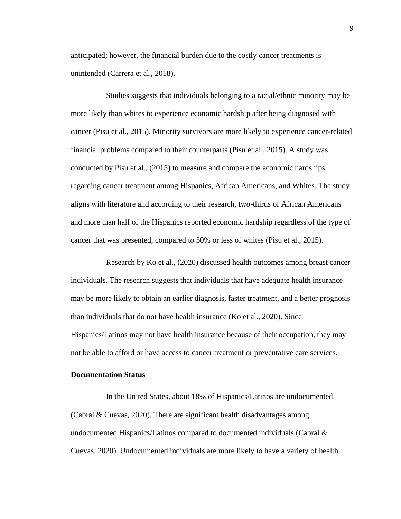anticipated; however, the financial burden due to the costly cancer treatments is unintended (Carrera et al., 2018).

Studies suggests that individuals belonging to a racial/ethnic minority may be more likely than whites to experience economic hardship after being diagnosed with cancer (Pisu et al., 2015). Minority survivors are more likely to experience cancer-related financial problems compared to their counterparts (Pisu et al., 2015). A study was conducted by Pisu et al., (2015) to measure and compare the economic hardships regarding cancer treatment among Hispanics, African Americans, and Whites. The study aligns with literature and according to their research, two-thirds of African Americans and more than half of the Hispanics reported economic hardship regardless of the type of cancer that was presented, compared to 50% or less of whites (Pisu et al., 2015).

Research by Ko et al., (2020) discussed health outcomes among breast cancer individuals. The research suggests that individuals that have adequate health insurance may be more likely to obtain an earlier diagnosis, faster treatment, and a better prognosis than individuals that do not have health insurance (Ko et al., 2020). Since Hispanics/Latinos may not have health insurance because of their occupation, they may not be able to afford or have access to cancer treatment or preventative care services.

#### **Documentation Status**

In the United States, about 18% of Hispanics/Latinos are undocumented (Cabral & Cuevas, 2020). There are significant health disadvantages among undocumented Hispanics/Latinos compared to documented individuals (Cabral  $\&$ Cuevas, 2020). Undocumented individuals are more likely to have a variety of health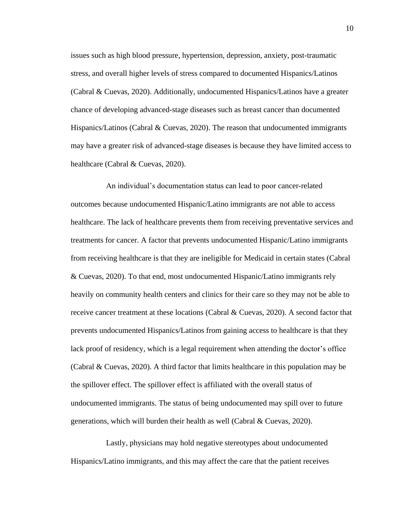issues such as high blood pressure, hypertension, depression, anxiety, post-traumatic stress, and overall higher levels of stress compared to documented Hispanics/Latinos (Cabral & Cuevas, 2020). Additionally, undocumented Hispanics/Latinos have a greater chance of developing advanced-stage diseases such as breast cancer than documented Hispanics/Latinos (Cabral & Cuevas, 2020). The reason that undocumented immigrants may have a greater risk of advanced-stage diseases is because they have limited access to healthcare (Cabral & Cuevas, 2020).

An individual's documentation status can lead to poor cancer-related outcomes because undocumented Hispanic/Latino immigrants are not able to access healthcare. The lack of healthcare prevents them from receiving preventative services and treatments for cancer. A factor that prevents undocumented Hispanic/Latino immigrants from receiving healthcare is that they are ineligible for Medicaid in certain states (Cabral & Cuevas, 2020). To that end, most undocumented Hispanic/Latino immigrants rely heavily on community health centers and clinics for their care so they may not be able to receive cancer treatment at these locations (Cabral & Cuevas, 2020). A second factor that prevents undocumented Hispanics/Latinos from gaining access to healthcare is that they lack proof of residency, which is a legal requirement when attending the doctor's office (Cabral & Cuevas, 2020). A third factor that limits healthcare in this population may be the spillover effect. The spillover effect is affiliated with the overall status of undocumented immigrants. The status of being undocumented may spill over to future generations, which will burden their health as well (Cabral & Cuevas, 2020).

Lastly, physicians may hold negative stereotypes about undocumented Hispanics/Latino immigrants, and this may affect the care that the patient receives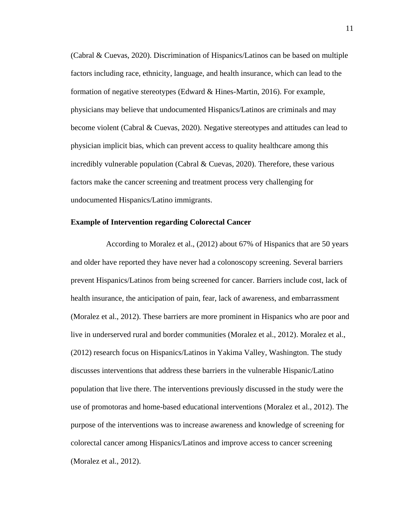(Cabral & Cuevas, 2020). Discrimination of Hispanics/Latinos can be based on multiple factors including race, ethnicity, language, and health insurance, which can lead to the formation of negative stereotypes (Edward & Hines-Martin, 2016). For example, physicians may believe that undocumented Hispanics/Latinos are criminals and may become violent (Cabral & Cuevas, 2020). Negative stereotypes and attitudes can lead to physician implicit bias, which can prevent access to quality healthcare among this incredibly vulnerable population (Cabral & Cuevas, 2020). Therefore, these various factors make the cancer screening and treatment process very challenging for undocumented Hispanics/Latino immigrants.

#### **Example of Intervention regarding Colorectal Cancer**

According to Moralez et al., (2012) about 67% of Hispanics that are 50 years and older have reported they have never had a colonoscopy screening. Several barriers prevent Hispanics/Latinos from being screened for cancer. Barriers include cost, lack of health insurance, the anticipation of pain, fear, lack of awareness, and embarrassment (Moralez et al., 2012). These barriers are more prominent in Hispanics who are poor and live in underserved rural and border communities (Moralez et al., 2012). Moralez et al., (2012) research focus on Hispanics/Latinos in Yakima Valley, Washington. The study discusses interventions that address these barriers in the vulnerable Hispanic/Latino population that live there. The interventions previously discussed in the study were the use of promotoras and home-based educational interventions (Moralez et al., 2012). The purpose of the interventions was to increase awareness and knowledge of screening for colorectal cancer among Hispanics/Latinos and improve access to cancer screening (Moralez et al., 2012).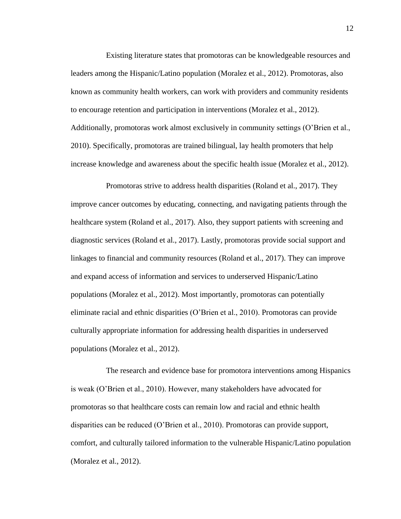Existing literature states that promotoras can be knowledgeable resources and leaders among the Hispanic/Latino population (Moralez et al., 2012). Promotoras, also known as community health workers, can work with providers and community residents to encourage retention and participation in interventions (Moralez et al., 2012). Additionally, promotoras work almost exclusively in community settings (O'Brien et al., 2010). Specifically, promotoras are trained bilingual, lay health promoters that help increase knowledge and awareness about the specific health issue (Moralez et al., 2012).

Promotoras strive to address health disparities (Roland et al., 2017). They improve cancer outcomes by educating, connecting, and navigating patients through the healthcare system (Roland et al., 2017). Also, they support patients with screening and diagnostic services (Roland et al., 2017). Lastly, promotoras provide social support and linkages to financial and community resources (Roland et al., 2017). They can improve and expand access of information and services to underserved Hispanic/Latino populations (Moralez et al., 2012). Most importantly, promotoras can potentially eliminate racial and ethnic disparities (O'Brien et al., 2010). Promotoras can provide culturally appropriate information for addressing health disparities in underserved populations (Moralez et al., 2012).

The research and evidence base for promotora interventions among Hispanics is weak (O'Brien et al., 2010). However, many stakeholders have advocated for promotoras so that healthcare costs can remain low and racial and ethnic health disparities can be reduced (O'Brien et al., 2010). Promotoras can provide support, comfort, and culturally tailored information to the vulnerable Hispanic/Latino population (Moralez et al., 2012).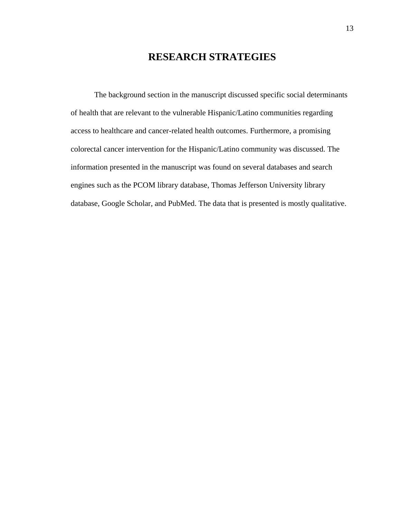# **RESEARCH STRATEGIES**

The background section in the manuscript discussed specific social determinants of health that are relevant to the vulnerable Hispanic/Latino communities regarding access to healthcare and cancer-related health outcomes. Furthermore, a promising colorectal cancer intervention for the Hispanic/Latino community was discussed. The information presented in the manuscript was found on several databases and search engines such as the PCOM library database, Thomas Jefferson University library database, Google Scholar, and PubMed. The data that is presented is mostly qualitative.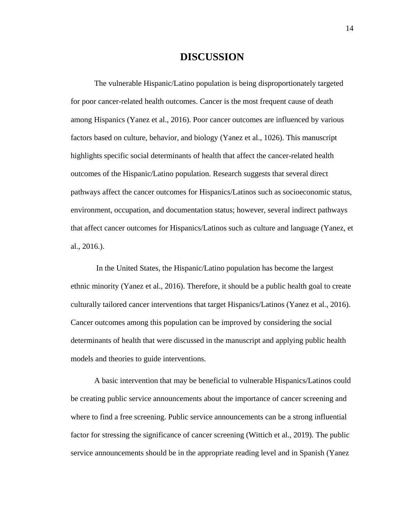# **DISCUSSION**

The vulnerable Hispanic/Latino population is being disproportionately targeted for poor cancer-related health outcomes. Cancer is the most frequent cause of death among Hispanics (Yanez et al., 2016). Poor cancer outcomes are influenced by various factors based on culture, behavior, and biology (Yanez et al., 1026). This manuscript highlights specific social determinants of health that affect the cancer-related health outcomes of the Hispanic/Latino population. Research suggests that several direct pathways affect the cancer outcomes for Hispanics/Latinos such as socioeconomic status, environment, occupation, and documentation status; however, several indirect pathways that affect cancer outcomes for Hispanics/Latinos such as culture and language (Yanez, et al., 2016.).

In the United States, the Hispanic/Latino population has become the largest ethnic minority (Yanez et al., 2016). Therefore, it should be a public health goal to create culturally tailored cancer interventions that target Hispanics/Latinos (Yanez et al., 2016). Cancer outcomes among this population can be improved by considering the social determinants of health that were discussed in the manuscript and applying public health models and theories to guide interventions.

A basic intervention that may be beneficial to vulnerable Hispanics/Latinos could be creating public service announcements about the importance of cancer screening and where to find a free screening. Public service announcements can be a strong influential factor for stressing the significance of cancer screening (Wittich et al., 2019). The public service announcements should be in the appropriate reading level and in Spanish (Yanez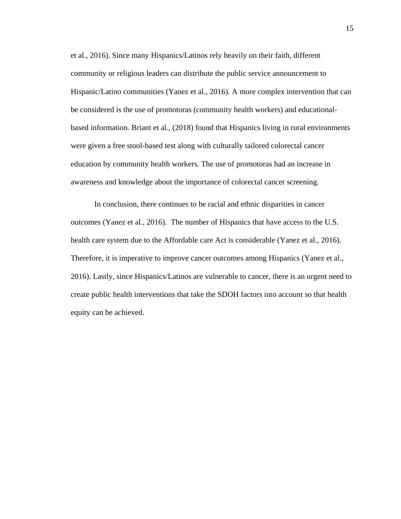et al., 2016). Since many Hispanics/Latinos rely heavily on their faith, different community or religious leaders can distribute the public service announcement to Hispanic/Latino communities (Yanez et al., 2016). A more complex intervention that can be considered is the use of promotoras (community health workers) and educationalbased information. Briant et al., (2018) found that Hispanics living in rural environments were given a free stool-based test along with culturally tailored colorectal cancer education by community health workers. The use of promotoras had an increase in awareness and knowledge about the importance of colorectal cancer screening.

In conclusion, there continues to be racial and ethnic disparities in cancer outcomes (Yanez et al., 2016). The number of Hispanics that have access to the U.S. health care system due to the Affordable care Act is considerable (Yanez et al., 2016). Therefore, it is imperative to improve cancer outcomes among Hispanics (Yanez et al., 2016). Lastly, since Hispanics/Latinos are vulnerable to cancer, there is an urgent need to create public health interventions that take the SDOH factors into account so that health equity can be achieved.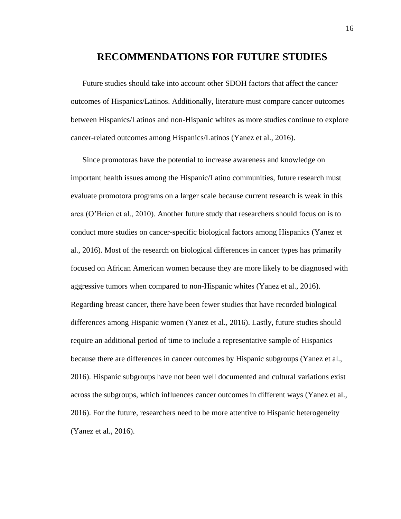# **RECOMMENDATIONS FOR FUTURE STUDIES**

Future studies should take into account other SDOH factors that affect the cancer outcomes of Hispanics/Latinos. Additionally, literature must compare cancer outcomes between Hispanics/Latinos and non-Hispanic whites as more studies continue to explore cancer-related outcomes among Hispanics/Latinos (Yanez et al., 2016).

Since promotoras have the potential to increase awareness and knowledge on important health issues among the Hispanic/Latino communities, future research must evaluate promotora programs on a larger scale because current research is weak in this area (O'Brien et al., 2010). Another future study that researchers should focus on is to conduct more studies on cancer-specific biological factors among Hispanics (Yanez et al., 2016). Most of the research on biological differences in cancer types has primarily focused on African American women because they are more likely to be diagnosed with aggressive tumors when compared to non-Hispanic whites (Yanez et al., 2016). Regarding breast cancer, there have been fewer studies that have recorded biological differences among Hispanic women (Yanez et al., 2016). Lastly, future studies should require an additional period of time to include a representative sample of Hispanics because there are differences in cancer outcomes by Hispanic subgroups (Yanez et al., 2016). Hispanic subgroups have not been well documented and cultural variations exist across the subgroups, which influences cancer outcomes in different ways (Yanez et al., 2016). For the future, researchers need to be more attentive to Hispanic heterogeneity (Yanez et al., 2016).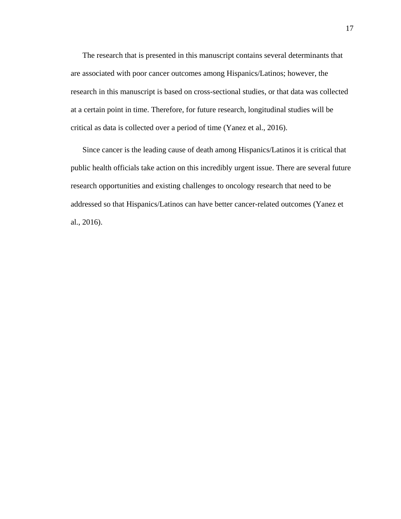The research that is presented in this manuscript contains several determinants that are associated with poor cancer outcomes among Hispanics/Latinos; however, the research in this manuscript is based on cross-sectional studies, or that data was collected at a certain point in time. Therefore, for future research, longitudinal studies will be critical as data is collected over a period of time (Yanez et al., 2016).

Since cancer is the leading cause of death among Hispanics/Latinos it is critical that public health officials take action on this incredibly urgent issue. There are several future research opportunities and existing challenges to oncology research that need to be addressed so that Hispanics/Latinos can have better cancer-related outcomes (Yanez et al., 2016).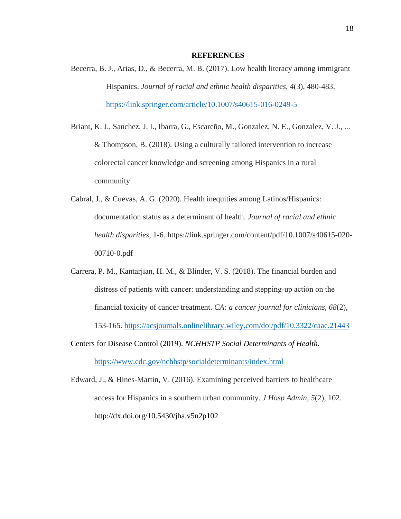### **REFERENCES**

- Becerra, B. J., Arias, D., & Becerra, M. B. (2017). Low health literacy among immigrant Hispanics. *Journal of racial and ethnic health disparities*, *4*(3), 480-483. <https://link.springer.com/article/10.1007/s40615-016-0249-5>
- Briant, K. J., Sanchez, J. I., Ibarra, G., Escareño, M., Gonzalez, N. E., Gonzalez, V. J., ... & Thompson, B. (2018). Using a culturally tailored intervention to increase colorectal cancer knowledge and screening among Hispanics in a rural community.
- Cabral, J., & Cuevas, A. G. (2020). Health inequities among Latinos/Hispanics: documentation status as a determinant of health. *Journal of racial and ethnic health disparities*, 1-6. https://link.springer.com/content/pdf/10.1007/s40615-020- 00710-0.pdf
- Carrera, P. M., Kantarjian, H. M., & Blinder, V. S. (2018). The financial burden and distress of patients with cancer: understanding and stepping‐up action on the financial toxicity of cancer treatment. *CA: a cancer journal for clinicians*, *68*(2), 153-165. <https://acsjournals.onlinelibrary.wiley.com/doi/pdf/10.3322/caac.21443>
- Centers for Disease Control (2019). *NCHHSTP Social Determinants of Health.*  <https://www.cdc.gov/nchhstp/socialdeterminants/index.html>
- Edward, J., & Hines-Martin, V. (2016). Examining perceived barriers to healthcare access for Hispanics in a southern urban community. *J Hosp Admin*, *5*(2), 102. http://dx.doi.org/10.5430/jha.v5n2p102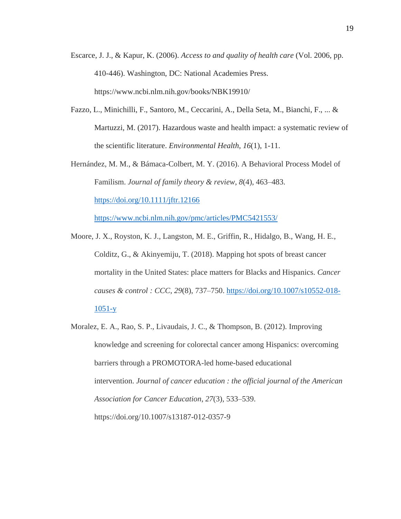- Escarce, J. J., & Kapur, K. (2006). *Access to and quality of health care* (Vol. 2006, pp. 410-446). Washington, DC: National Academies Press. https://www.ncbi.nlm.nih.gov/books/NBK19910/
- Fazzo, L., Minichilli, F., Santoro, M., Ceccarini, A., Della Seta, M., Bianchi, F., ... & Martuzzi, M. (2017). Hazardous waste and health impact: a systematic review of the scientific literature. *Environmental Health*, *16*(1), 1-11.
- Hernández, M. M., & Bámaca-Colbert, M. Y. (2016). A Behavioral Process Model of Familism. *Journal of family theory & review*, *8*(4), 463–483. <https://doi.org/10.1111/jftr.12166>

https://www.ncbi.nlm.nih.gov/pmc/articles/PMC5421553/

- Moore, J. X., Royston, K. J., Langston, M. E., Griffin, R., Hidalgo, B., Wang, H. E., Colditz, G., & Akinyemiju, T. (2018). Mapping hot spots of breast cancer mortality in the United States: place matters for Blacks and Hispanics. *Cancer causes & control : CCC*, *29*(8), 737–750. [https://doi.org/10.1007/s10552-018-](https://doi.org/10.1007/s10552-018-1051-y) [1051-y](https://doi.org/10.1007/s10552-018-1051-y)
- Moralez, E. A., Rao, S. P., Livaudais, J. C., & Thompson, B. (2012). Improving knowledge and screening for colorectal cancer among Hispanics: overcoming barriers through a PROMOTORA-led home-based educational intervention. *Journal of cancer education : the official journal of the American Association for Cancer Education*, *27*(3), 533–539. https://doi.org/10.1007/s13187-012-0357-9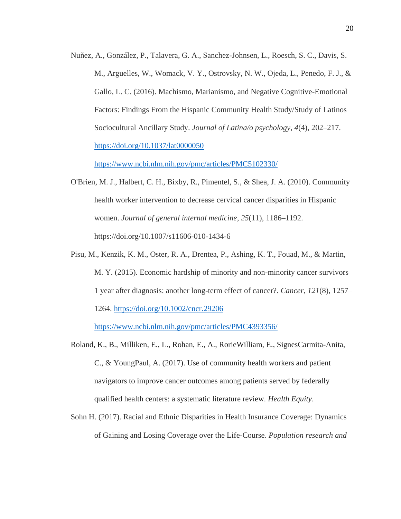Nuñez, A., González, P., Talavera, G. A., Sanchez-Johnsen, L., Roesch, S. C., Davis, S. M., Arguelles, W., Womack, V. Y., Ostrovsky, N. W., Ojeda, L., Penedo, F. J., & Gallo, L. C. (2016). Machismo, Marianismo, and Negative Cognitive-Emotional Factors: Findings From the Hispanic Community Health Study/Study of Latinos Sociocultural Ancillary Study. *Journal of Latina/o psychology*, *4*(4), 202–217. <https://doi.org/10.1037/lat0000050>

<https://www.ncbi.nlm.nih.gov/pmc/articles/PMC5102330/>

- O'Brien, M. J., Halbert, C. H., Bixby, R., Pimentel, S., & Shea, J. A. (2010). Community health worker intervention to decrease cervical cancer disparities in Hispanic women. *Journal of general internal medicine*, *25*(11), 1186–1192. https://doi.org/10.1007/s11606-010-1434-6
- Pisu, M., Kenzik, K. M., Oster, R. A., Drentea, P., Ashing, K. T., Fouad, M., & Martin, M. Y. (2015). Economic hardship of minority and non-minority cancer survivors 1 year after diagnosis: another long-term effect of cancer?. *Cancer*, *121*(8), 1257– 1264.<https://doi.org/10.1002/cncr.29206>

<https://www.ncbi.nlm.nih.gov/pmc/articles/PMC4393356/>

- Roland, K., B., Milliken, E., L., Rohan, E., A., RorieWilliam, E., SignesCarmita-Anita, C., & YoungPaul, A. (2017). Use of community health workers and patient navigators to improve cancer outcomes among patients served by federally qualified health centers: a systematic literature review. *Health Equity*.
- Sohn H. (2017). Racial and Ethnic Disparities in Health Insurance Coverage: Dynamics of Gaining and Losing Coverage over the Life-Course. *Population research and*